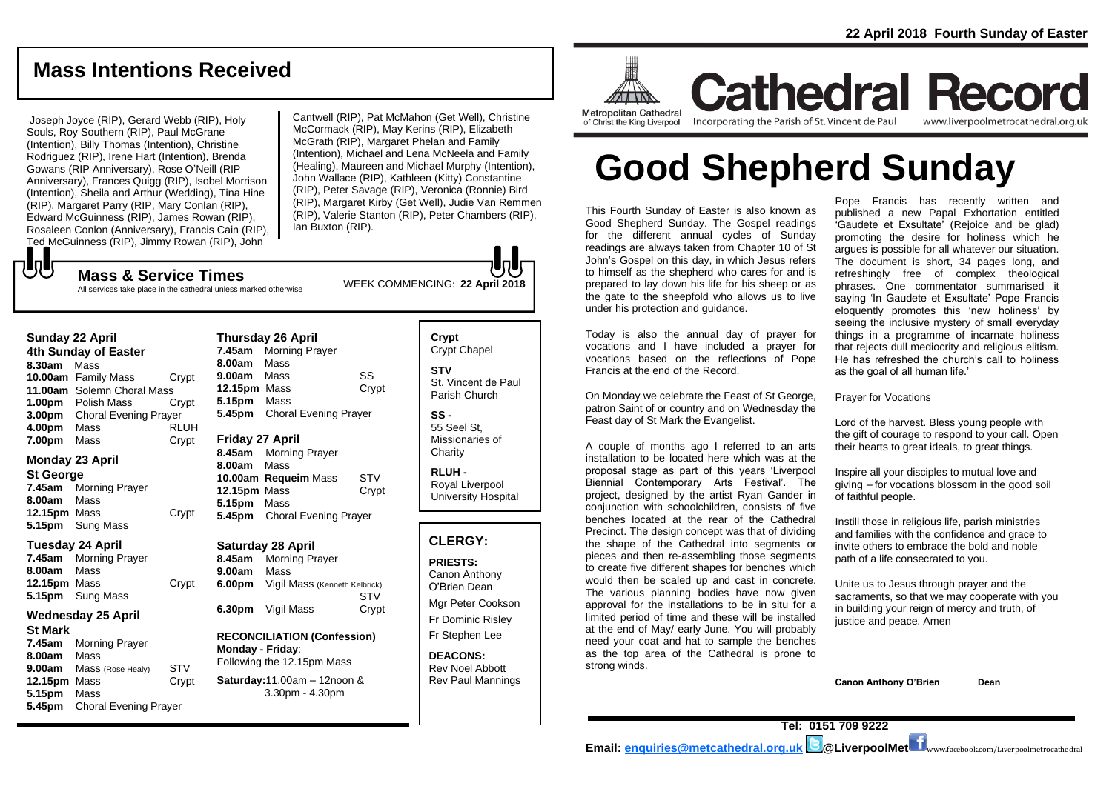# **Mass Intentions Received**

Joseph Joyce (RIP), Gerard Webb (RIP), Holy Souls, Roy Southern (RIP), Paul McGrane (Intention), Billy Thomas (Intention), Christine Rodriguez (RIP), Irene Hart (Intention), Brenda Gowans (RIP Anniversary), Rose O'Neill (RIP Anniversary), Frances Quigg (RIP), Isobel Morrison (Intention), Sheila and Arthur (Wedding), Tina Hine (RIP), Margaret Parry (RIP, Mary Conlan (RIP), Edward McGuinness (RIP), James Rowan (RIP), Rosaleen Conlon (Anniversary), Francis Cain (RIP), Ted McGuinness (RIP), Jimmy Rowan (RIP), John

Cantwell (RIP), Pat McMahon (Get Well), Christine McCormack (RIP), May Kerins (RIP), Elizabeth McGrath (RIP), Margaret Phelan and Family (Intention), Michael and Lena McNeela and Family (Healing), Maureen and Michael Murphy (Intention), John Wallace (RIP), Kathleen (Kitty) Constantine (RIP), Peter Savage (RIP), Veronica (Ronnie) Bird (RIP), Margaret Kirby (Get Well), Judie Van Remmen (RIP), Valerie Stanton (RIP), Peter Chambers (RIP), lan Buxton (RIP).

WEEK COMMENCING: **<sup>22</sup> April <sup>2018</sup> Mass & Service Times** All services take place in the cathedral unless marked otherwise

| <b>Sunday 22 April</b> |                              |             |  |
|------------------------|------------------------------|-------------|--|
| 4th Sunday of Easter   |                              |             |  |
| 8.30am                 | Mass                         |             |  |
|                        | 10.00am Family Mass          | Crypt       |  |
|                        | 11.00am Solemn Choral Mass   |             |  |
| 1.00 <sub>pm</sub>     | Polish Mass                  | Crvpt       |  |
| 3.00 <sub>pm</sub>     | <b>Choral Evening Prayer</b> |             |  |
| 4.00pm                 | Mass                         | <b>RLUH</b> |  |
| 7.00pm                 | Mass                         | Crvpt       |  |

### **Monday 23 April**

でし

**St George 7.45am** Morning Prayer **8.00am** Mass **12.15pm** Mass Crypt **5.15pm** Sung Mass

### **Tuesday 24 April**

**7.45am** Morning Prayer **8.00am** Mass **12.15pm** Mass Crypt **5.15pm** Sung Mass

### **Wednesday 25 April**

**St Mark 7.45am** Morning Prayer **8.00am** Mass **9.00am** Mass (Rose Healy) STV **12.15pm** Mass Crypt **5.15pm** Mass **5.45pm** Choral Evening Prayer

| <b>Thursday 26 April</b> |                              |       |  |
|--------------------------|------------------------------|-------|--|
| 7.45am                   | <b>Morning Prayer</b>        |       |  |
| 8.00am                   | Mass                         |       |  |
| 9.00am                   | Mass                         | SS    |  |
| 12.15pm Mass             |                              | Crypt |  |
| 5.15pm                   | Mass                         |       |  |
|                          | 5.45pm Choral Evening Prayer |       |  |
| Friday 27 April          |                              |       |  |
|                          | 8.45am Morning Prayer        |       |  |
| 8.00am                   | Mass                         |       |  |
| 10.00am                  | <b>Requeim Mass</b>          | S1 V  |  |

**10.00am Requeim** Mass STV **12.15pm** Mass Crypt **5.15pm** Mass **5.45pm** Choral Evening Prayer

### **Saturday 28 April**

**8.45am** Morning Prayer **9.00am** Mass **6.00pm** Vigil Mass (Kenneth Kelbrick) **STV 6.30pm** Vigil Mass Crypt

### **RECONCILIATION (Confession) Monday - Friday**: Following the 12.15pm Mass

**Saturday:**11.00am – 12noon & 3.30pm - 4.30pm

**Crypt**  Crypt Chapel **STV** St. Vincent de Paul Parish Church

**SS -** 55 Seel St, Missionaries of **Charity** 

**RLUH -** Royal Liverpool University Hospital

### **CLERGY:**

**PRIESTS:** Canon Anthony O'Brien *Dean*

Mgr Peter Cookson Fr Dominic Risley Fr Stephen Lee

**DEACONS:** Rev Noel Abbott Rev Paul Mannings



of Christ the King Liverpool

Incorporating the Parish of St. Vincent de Paul

**Cathedral Record** www.liverpoolmetrocathedral.org.uk

# **Good Shepherd Sunday**

This Fourth Sunday of Easter is also known as Good Shepherd Sunday. The Gospel readings for the different annual cycles of Sunday readings are always taken from Chapter 10 of St John's Gospel on this day, in which Jesus refers to himself as the shepherd who cares for and is prepared to lay down his life for his sheep or as the gate to the sheepfold who allows us to live under his protection and guidance.

Today is also the annual day of prayer for vocations and I have included a prayer for vocations based on the reflections of Pope Francis at the end of the Record.

On Monday we celebrate the Feast of St George, patron Saint of or country and on Wednesday the Feast day of St Mark the Evangelist.

A couple of months ago I referred to an arts installation to be located here which was at the proposal stage as part of this years 'Liverpool Biennial Contemporary Arts Festival'. The project, designed by the artist Ryan Gander in conjunction with schoolchildren, consists of five benches located at the rear of the Cathedral Precinct. The design concept was that of dividing the shape of the Cathedral into segments or pieces and then re-assembling those segments to create five different shapes for benches which would then be scaled up and cast in concrete. The various planning bodies have now given approval for the installations to be in situ for a limited period of time and these will be installed at the end of May/ early June. You will probably need your coat and hat to sample the benches as the top area of the Cathedral is prone to strong winds.

Pope Francis has recently written and published a new Papal Exhortation entitled 'Gaudete et Exsultate' (Rejoice and be glad) promoting the desire for holiness which he argues is possible for all whatever our situation. The document is short, 34 pages long, and refreshingly free of complex theological phrases. One commentator summarised it saying 'In Gaudete et Exsultate' Pope Francis eloquently promotes this 'new holiness' by seeing the inclusive mystery of small everyday things in a programme of incarnate holiness that rejects dull mediocrity and religious elitism. He has refreshed the church's call to holiness as the goal of all human life.'

*Prayer for Vocations*

*Lord of the harvest. Bless young people with the gift of courage to respond to your call. Open their hearts to great ideals, to great things.*

*Inspire all your disciples to mutual love and giving – for vocations blossom in the good soil of faithful people.*

*Instill those in religious life, parish ministries and families with the confidence and grace to invite others to embrace the bold and noble path of a life consecrated to you.*

*Unite us to Jesus through prayer and the sacraments, so that we may cooperate with you in building your reign of mercy and truth, of justice and peace. Amen*

**Canon Anthony O'Brien Dean**